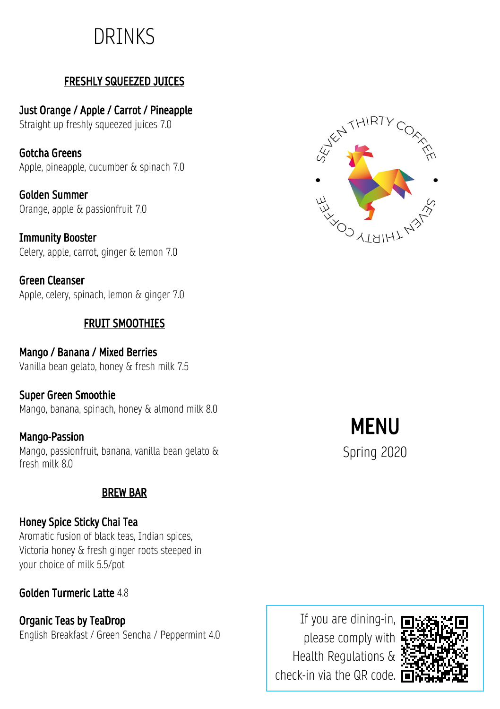## DRINKS

## FRESHLY SQUEEZED JUICES

Just Orange / Apple / Carrot / Pineapple Straight up freshly squeezed juices 7.0

Gotcha Greens Apple, pineapple, cucumber & spinach 7.0

Golden Summer Orange, apple & passionfruit 7.0

Immunity Booster Celery, apple, carrot, ginger & lemon 7.0

Green Cleanser Apple, celery, spinach, lemon & ginger 7.0

## FRUIT SMOOTHIES

Mango / Banana / Mixed Berries Vanilla bean gelato, honey & fresh milk 7.5

## Super Green Smoothie

Mango, banana, spinach, honey & almond milk 8.0

## Mango-Passion

Mango, passionfruit, banana, vanilla bean gelato & fresh milk 8.0

## BREW BAR

## Honey Spice Sticky Chai Tea

Aromatic fusion of black teas, Indian spices, Victoria honey & fresh ginger roots steeped in your choice of milk 5.5/pot

## Golden Turmeric Latte 4.8

Organic Teas by TeaDrop English Breakfast / Green Sencha / Peppermint 4.0

If you are dining-in, please comply with Health Regulations & check-in via the QR code.





**MFNU** 

Spring 2020